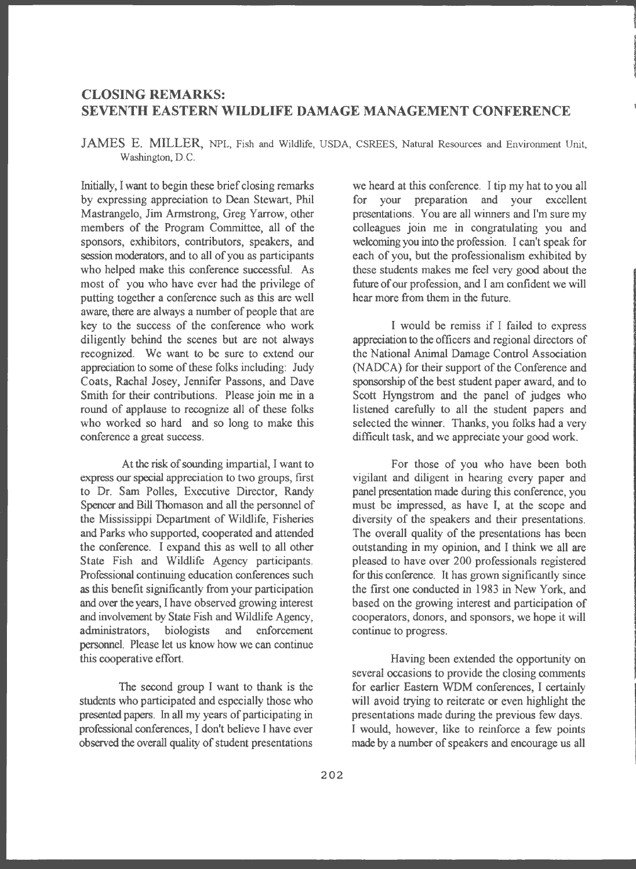## **CLOSING REMARKS: SEVENTH EASTERN WILDLIFE DAMAGE MANAGEMENT CONFERENCE**

**JAMES** E. **MILLER,** NPL, Fish and Wildlife, USDA, CSREES, Natural Resources and Environment Unit, Washington, D.C.

Initially, I want to begin these brief closing remarks by expressing appreciation to Dean Stewart, Phil Mastrangelo, Jim Armstrong, Greg Yarrow, other members of the Program Committee, all of the sponsors, exhibitors, contributors, speakers, and session moderators, and to all of you as participants who helped make this conference successful. As most of you who have ever had the privilege of putting together a conference such as this are well aware, there are always a number of people that are key to the success of the conference who work diligently behind the scenes but are not always recognized. We want to be sure to extend our appreciation to some of these folks including: Judy Coats, Rachal Josey, Jennifer Passons, and Dave Smith for their contributions. Please join me in a round of applause to recognize all of these folks who worked so hard and so long to make this conference a great success.

At the risk of sounding impartial, I want to express our special appreciation to two groups, first to Dr. Sam Polles, Executive Director, Randy Spencer and Bill Thomason and all the personnel of the Mississippi Department of Wildlife, Fisheries and Parks who supported, cooperated and attended the conference. I expand this as well to all other State Fish and Wildlife Agency participants. Professional continuing education conferences such as this benefit significantly from your participation and over the years, I have observed growing interest and involvement by State Fish and Wildlife Agency, administrators, biologists and enforcement personnel. Please let us know how we can continue this cooperative effort.

The second group I want to thank is the students who participated and especially those who presented papers. In all my years of participating in professional conferences, I don't believe I have ever observed the overall quality of student presentations

we heard at this conference. I tip my hat to you all for your preparation and your excellent presentations. You are all winners and I'm sure my colleagues join me in congratulating you and welcoming you into the profession. I can't speak for each of you, but the professionalism exhibited by these students makes me feel very good about the future of our profession, and I am confident we will hear more from them in the future.

I would be remiss if I failed to express appreciation to the officers and regional directors of the National Animal Damage Control Association (NADCA) for their support of the Conference and sponsorship of the best student paper award, and to Scott Hyngstrom and the panel of judges who listened carefully to all the student papers and selected the winner. Thanks, you folks had a very difficult task, and we appreciate your good work.

For those of you who have been both vigilant and diligent in hearing every paper and panel presentation made during this conference, you must be impressed, as have I, at the scope and diversity of the speakers and their presentations. The overall quality of the presentations has been outstanding in my opinion, and I think we all are pleased to have over 200 professionals registered for this conference. It has grown significantly since the first one conducted in 1983 in New York, and based on the growing interest and participation of cooperators, donors, and sponsors, we hope it will continue to progress.

Having been extended the opportunity on several occasions to provide the closing comments for earlier Eastern WDM conferences, I certainly will avoid trying to reiterate or even highlight the presentations made during the previous few days. I would, however, like to reinforce a few points made by a number of speakers and encourage us all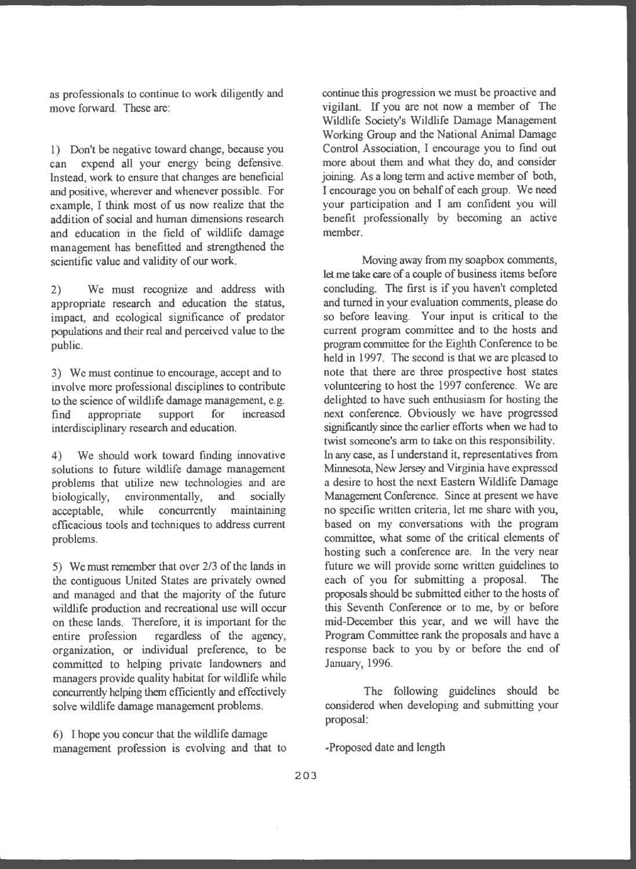as professionals to continue to work diligently and move forward . These are:

1) Don't be negative toward change, because you can expend all your energy being defensive. Instead, work to ensure that changes are beneficial and positive, wherever and whenever possible. For example, I think most of us now realize that the addition of social and human dimensions research and education in the field of wildlife damage management has benefitted and strengthened the scientific value and validity of our work.

2) We must recognize and address with appropriate research and education the status, impact, and ecological significance of predator populations and their real and perceived value to the public.

3) We must continue to encourage, accept and to involve more professional disciplines to contribute to the science of wildlife damage management, e.g. find appropriate support for increased interdisciplinary research and education.

4) We should work toward finding innovative solutions to future wildlife damage management problems that utilize new technologies and are biologically, environmentally, and socially biologically, environmentally, and acceptable, while concurrently maintaining efficacious tools and techniques to address current problems.

5) We must remember that over 2/3 of the lands in the contiguous United States are privately owned and managed and that the majority of the future wildlife production and recreational use will occur on these lands. Therefore, it is important for the entire profession regardless of the agency, organization, or individual preference, to be committed to helping private landowners and managers provide quality habitat for wildlife while concurrently helping them efficiently and effectively solve wildlife damage management problems.

6) I hope you concur that the wildlife damage management profession is evolving and that to continue this progression we must be proactive and vigilant. If you are not now a member of The Wildlife Society's Wildlife Damage Management Working Group and the National Animal Damage Control Association, I encourage you to find out more about them and what they do, and consider joining. As a long term and active member of both, I encourage you on behalf of each group. We need your participation and I am confident you will benefit professionally by becoming an active member.

Moving away from my soapbox comments, let me take care of a couple of business items before concluding. The first is if you haven't completed and turned in your evaluation comments, please do so before leaving. Your input is critical to the current program committee and to the hosts and program committee for the Eighth Conference to be held in 1997. The second is that we are pleased to note that there are three prospective host states volunteering to host the 1997 conference. We are delighted to have such enthusiasm for hosting the next conference. Obviously we have progressed significantly since the earlier efforts when we had to twist someone's arm to take on this responsibility. In any case, as I understand it, representatives from Minnesota, New Jersey and Virginia have expressed a desire to host the next Eastern Wildlife Damage Management Conference. Since at present we have no specific written criteria, let me share with you, based on my conversations with the program committee, what some of the critical elements of hosting such a conference are. In the very near future we will provide some written guidelines to each of you for submitting a proposal. The proposals should be submitted either to the hosts of this Seventh Conference or to me, by or before mid-December this year, and we will have the Program Committee rank the proposals and have a response back to you by or before the end of January, 1996.

The following guidelines should be considered when developing and submitting your proposal:

-Proposed date and length